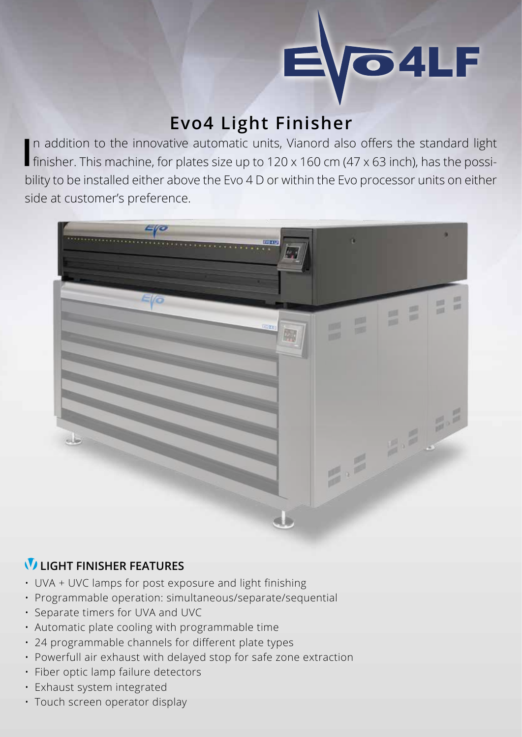

## **Evo4 Light Finisher**

In addition to the innovative automatic units, Vianord also offers the standard light<br>finisher. This machine, for plates size up to 120 x 160 cm (47 x 63 inch), has the possin addition to the innovative automatic units, Vianord also offers the standard light bility to be installed either above the Evo 4 D or within the Evo processor units on either side at customer's preference.



## **LIGHT FINISHER FEATURES**

- UVA + UVC lamps for post exposure and light finishing
- Programmable operation: simultaneous/separate/sequential
- Separate timers for UVA and UVC
- Automatic plate cooling with programmable time
- 24 programmable channels for different plate types
- Powerfull air exhaust with delayed stop for safe zone extraction
- Fiber optic lamp failure detectors
- Exhaust system integrated
- Touch screen operator display